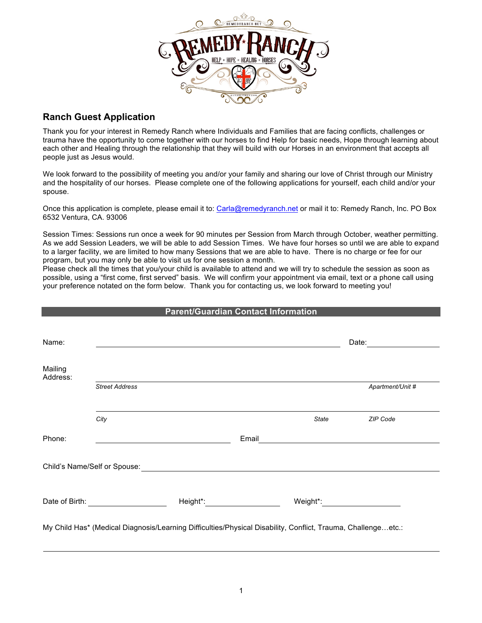

## **Ranch Guest Application**

Thank you for your interest in Remedy Ranch where Individuals and Families that are facing conflicts, challenges or trauma have the opportunity to come together with our horses to find Help for basic needs, Hope through learning about each other and Healing through the relationship that they will build with our Horses in an environment that accepts all people just as Jesus would.

We look forward to the possibility of meeting you and/or your family and sharing our love of Christ through our Ministry and the hospitality of our horses. Please complete one of the following applications for yourself, each child and/or your spouse.

Once this application is complete, please email it to: Carla@remedyranch.net or mail it to: Remedy Ranch, Inc. PO Box 6532 Ventura, CA. 93006

Session Times: Sessions run once a week for 90 minutes per Session from March through October, weather permitting. As we add Session Leaders, we will be able to add Session Times. We have four horses so until we are able to expand to a larger facility, we are limited to how many Sessions that we are able to have. There is no charge or fee for our program, but you may only be able to visit us for one session a month.

Please check all the times that you/your child is available to attend and we will try to schedule the session as soon as possible, using a "first come, first served" basis. We will confirm your appointment via email, text or a phone call using your preference notated on the form below. Thank you for contacting us, we look forward to meeting you!

|                     |                                             | <b>Parent/Guardian Contact Information</b>                                                                                                                                                                                     |                                                                                                                                                                                                                                      |                                                                                                                                                                                                                                |
|---------------------|---------------------------------------------|--------------------------------------------------------------------------------------------------------------------------------------------------------------------------------------------------------------------------------|--------------------------------------------------------------------------------------------------------------------------------------------------------------------------------------------------------------------------------------|--------------------------------------------------------------------------------------------------------------------------------------------------------------------------------------------------------------------------------|
| Name:               |                                             |                                                                                                                                                                                                                                | <u> 1989 - Johann Stoff, deutscher Stoffen und der Stoffen und der Stoffen und der Stoffen und der Stoffen und der</u>                                                                                                               |                                                                                                                                                                                                                                |
| Mailing<br>Address: |                                             |                                                                                                                                                                                                                                |                                                                                                                                                                                                                                      |                                                                                                                                                                                                                                |
|                     | <b>Street Address</b>                       |                                                                                                                                                                                                                                |                                                                                                                                                                                                                                      | Apartment/Unit #                                                                                                                                                                                                               |
|                     | City                                        |                                                                                                                                                                                                                                | State                                                                                                                                                                                                                                | ZIP Code                                                                                                                                                                                                                       |
| Phone:              |                                             |                                                                                                                                                                                                                                | Email <u>contract and contract and contract and contract and contract and contract and contract of the contract of the contract of the contract of the contract of the contract of the contract of the contract of the contract </u> |                                                                                                                                                                                                                                |
|                     |                                             |                                                                                                                                                                                                                                |                                                                                                                                                                                                                                      |                                                                                                                                                                                                                                |
|                     | Date of Birth: <u>_____________________</u> | Height*: Network and Changes and Changes and Changes and Changes and Changes and Changes and Changes and Changes and Changes and Changes and Changes and Changes and Changes and Changes and Changes and Changes and Changes a |                                                                                                                                                                                                                                      | Weight*: when the control of the control of the control of the control of the control of the control of the control of the control of the control of the control of the control of the control of the control of the control o |
|                     |                                             |                                                                                                                                                                                                                                | My Child Has* (Medical Diagnosis/Learning Difficulties/Physical Disability, Conflict, Trauma, Challenge…etc.:                                                                                                                        |                                                                                                                                                                                                                                |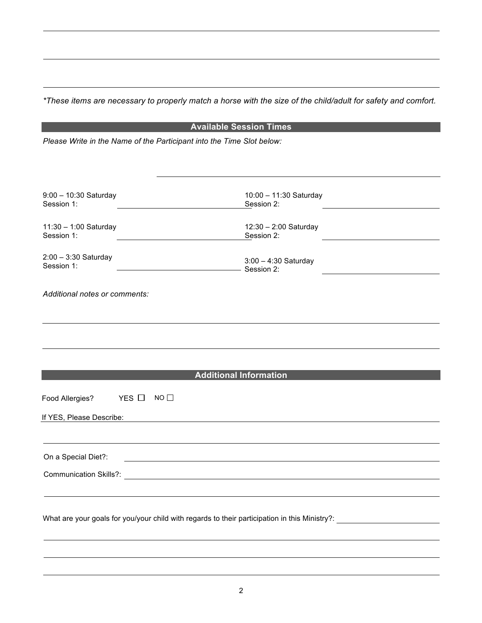*\*These items are necessary to properly match a horse with the size of the child/adult for safety and comfort.*

| <b>Available Session Times</b>                                        |                                                                                                                |  |  |  |  |  |
|-----------------------------------------------------------------------|----------------------------------------------------------------------------------------------------------------|--|--|--|--|--|
| Please Write in the Name of the Participant into the Time Slot below: |                                                                                                                |  |  |  |  |  |
|                                                                       |                                                                                                                |  |  |  |  |  |
|                                                                       |                                                                                                                |  |  |  |  |  |
|                                                                       |                                                                                                                |  |  |  |  |  |
| $9:00 - 10:30$ Saturday<br>Session 1:                                 | 10:00 - 11:30 Saturday<br>Session 2:                                                                           |  |  |  |  |  |
| 11:30 - 1:00 Saturday<br>Session 1:                                   | 12:30 - 2:00 Saturday<br>Session 2:                                                                            |  |  |  |  |  |
| $2:00 - 3:30$ Saturday<br>Session 1:                                  | $3:00 - 4:30$ Saturday<br>- Session 2:                                                                         |  |  |  |  |  |
| Additional notes or comments:                                         |                                                                                                                |  |  |  |  |  |
|                                                                       |                                                                                                                |  |  |  |  |  |
|                                                                       |                                                                                                                |  |  |  |  |  |
|                                                                       |                                                                                                                |  |  |  |  |  |
|                                                                       | <b>Additional Information</b>                                                                                  |  |  |  |  |  |
| YES $\Box$<br>Food Allergies?                                         | $NO$ $\Box$                                                                                                    |  |  |  |  |  |
| If YES, Please Describe:                                              |                                                                                                                |  |  |  |  |  |
|                                                                       |                                                                                                                |  |  |  |  |  |
| On a Special Diet?:                                                   |                                                                                                                |  |  |  |  |  |
| <b>Communication Skills?:</b>                                         |                                                                                                                |  |  |  |  |  |
|                                                                       |                                                                                                                |  |  |  |  |  |
|                                                                       | What are your goals for you/your child with regards to their participation in this Ministry?: ________________ |  |  |  |  |  |
|                                                                       |                                                                                                                |  |  |  |  |  |
|                                                                       |                                                                                                                |  |  |  |  |  |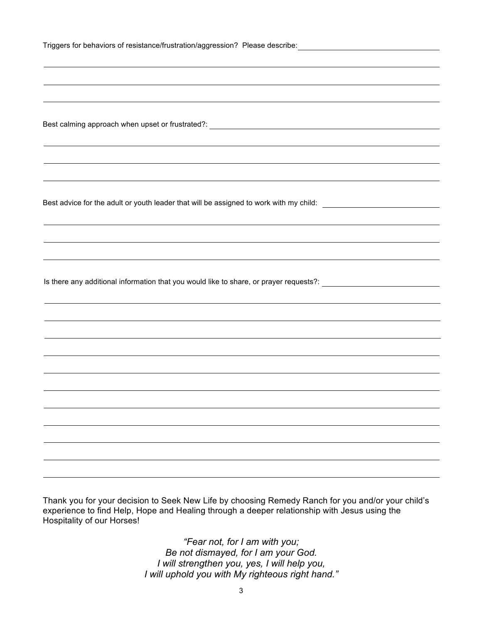| Triggers for behaviors of resistance/frustration/aggression? Please describe: |  |
|-------------------------------------------------------------------------------|--|
|                                                                               |  |

Best calming approach when upset or frustrated?:

Best advice for the adult or youth leader that will be assigned to work with my child: \_\_\_\_\_\_\_\_\_\_\_\_\_\_\_\_\_\_\_\_\_\_\_

Is there any additional information that you would like to share, or prayer requests?: \_\_\_\_\_\_\_\_\_\_\_\_\_\_\_\_\_\_\_\_\_\_\_

Thank you for your decision to Seek New Life by choosing Remedy Ranch for you and/or your child's experience to find Help, Hope and Healing through a deeper relationship with Jesus using the Hospitality of our Horses!

> *"Fear not, for I am with you; Be not dismayed, for I am your God. I will strengthen you, yes, I will help you, I will uphold you with My righteous right hand."*